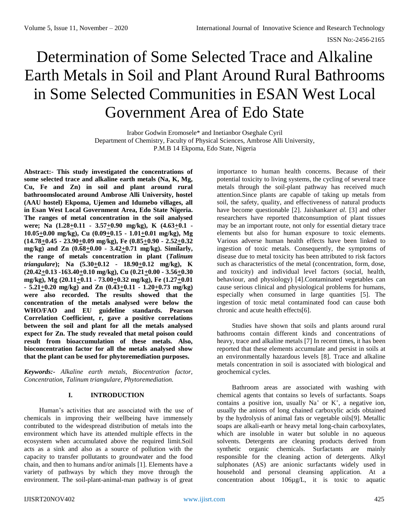# Determination of Some Selected Trace and Alkaline Earth Metals in Soil and Plant Around Rural Bathrooms in Some Selected Communities in ESAN West Local Government Area of Edo State

Irabor Godwin Eromosele\* and Inetianbor Oseghale Cyril Department of Chemistry, Faculty of Physical Sciences, Ambrose Alli University, P.M.B 14 Ekpoma, Edo State, Nigeria

**Abstract:- This study investigated the concentrations of some selected trace and alkaline earth metals (Na, K, Mg, Cu, Fe and Zn) in soil and plant around rural bathroomslocated around Ambrose Alli University, hostel (AAU hostel) Ekpoma, Ujemen and Idumebo villages, all in Esan West Local Government Area, Edo State Nigeria. The ranges of metal concentration in the soil analysed were; Na (1.28+0.11 - 3.57+0.90 mg/kg), K (4.63+0.1 - 10.05+0.00 mg/kg), Cu (0.09+0.15 - 1.01+0.01 mg/kg), Mg (14.78+0.45 - 23.90+0.09 mg/kg), Fe (0.85+0.90 - 2.52+0.32 mg/kg) and Zn (0.68+0.00 - 3.42+0.71 mg/kg). Similarly, the range of metals concentration in plant (***Talinum triangulare*); Na  $(5.30 \pm 0.12 \cdot 18.90 \pm 0.12 \text{ mg/kg})$ , K **(20.42+0.13 -163.40+0.10 mg/kg), Cu (0.21+0.00 - 3.56+0.30 mg/kg), Mg (20.11+0.11 - 73.00+0.32 mg/kg), Fe (1.27+0.01 - 5.21+0.20 mg/kg) and Zn (0.43+0.11 - 1.20+0.73 mg/kg) were also recorded. The results showed that the concentration of the metals analysed were below the WHO/FAO and EU guideline standards. Pearson Correlation Coefficient, r, gave a positive correlations between the soil and plant for all the metals analysed expect for Zn. The study revealed that metal poison could result from bioaccumulation of these metals. Also, bioconcentration factor for all the metals analysed show that the plant can be used for phytoremediation purposes.**

*Keywords:- Alkaline earth metals, Biocentration factor, Concentration, Talinum triangulare, Phytoremediation.*

## **I. INTRODUCTION**

Human's activities that are associated with the use of chemicals in improving their wellbeing have immensely contributed to the widespread distribution of metals into the environment which have its attended multiple effects in the ecosystem when accumulated above the required limit.Soil acts as a sink and also as a source of pollution with the capacity to transfer pollutants to groundwater and the food chain, and then to humans and/or animals [1]. Elements have a variety of pathways by which they move through the environment. The soil-plant-animal-man pathway is of great

importance to human health concerns. Because of their potential toxicity to living systems, the cycling of several trace metals through the soil-plant pathway has received much attention.Since plants are capable of taking up metals from soil, the safety, quality, and effectiveness of natural products have become questionable [2]. Jaishankar*et al*. [3] and other researchers have reported thatconsumption of plant tissues may be an important route, not only for essential dietary trace elements but also for human exposure to toxic elements. Various adverse human health effects have been linked to ingestion of toxic metals. Consequently, the symptoms of disease due to metal toxicity has been attributed to risk factors such as characteristics of the metal (concentration, form, dose, and toxicity) and individual level factors (social, health, behaviour, and physiology) [4].Contaminated vegetables can cause serious clinical and physiological problems for humans, especially when consumed in large quantities [5]. The ingestion of toxic metal contaminated food can cause both chronic and acute health effects[6].

Studies have shown that soils and plants around rural bathrooms contain different kinds and concentrations of heavy, trace and alkaline metals [7] In recent times, it has been reported that these elements accumulate and persist in soils at an environmentally hazardous levels [8]. Trace and alkaline metals concentration in soil is associated with biological and geochemical cycles.

Bathroom areas are associated with washing with chemical agents that contains so levels of surfactants. Soaps contains a positive ion, usually  $Na<sup>+</sup>$  or  $K<sup>+</sup>$ , a negative ion, usually the anions of long chained carboxylic acids obtained by the hydrolysis of animal fats or vegetable oils[9]. Metallic soaps are alkali-earth or heavy metal long-chain carboxylates, which are insoluble in water but soluble in no aqueous solvents. Detergents are cleaning products derived from synthetic organic chemicals. Surfactants are mainly responsible for the cleaning action of detergents. Alkyl sulphonates (AS) are anionic surfactants widely used in household and personal cleansing application. At a concentration about 106µg/L, it is toxic to aquatic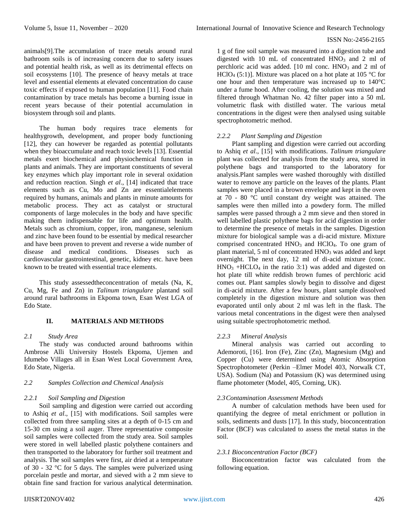animals[9].The accumulation of trace metals around rural bathroom soils is of increasing concern due to safety issues and potential health risk, as well as its detrimental effects on soil ecosystems [10]. The presence of heavy metals at trace level and essential elements at elevated concentration do cause toxic effects if exposed to human population [11]. Food chain contamination by trace metals has become a burning issue in recent years because of their potential accumulation in biosystem through soil and plants.

The human body requires trace elements for healthygrowth, development, and proper body functioning [12], they can however be regarded as potential pollutants when they bioaccumulate and reach toxic levels [13]. Essential metals exert biochemical and physiochemical function in plants and animals. They are important constituents of several key enzymes which play important role in several oxidation and reduction reaction. Singh *et al*., [14] indicated that trace elements such as Cu, Mo and Zn are essentialelements required by humans, animals and plants in minute amounts for metabolic process. They act as catalyst or structural components of large molecules in the body and have specific making them indispensable for life and optimum health. Metals such as chromium, copper, iron, manganese, selenium and zinc have been found to be essential by medical researcher and have been proven to prevent and reverse a wide number of disease and medical conditions. Diseases such as cardiovascular gastrointestinal, genetic, kidney etc. have been known to be treated with essential trace elements.

This study assessedtheconcentration of metals (Na, K, Cu, Mg, Fe and Zn) in *Talinum triangulare* plantand soil around rural bathrooms in Ekpoma town, Esan West LGA of Edo State.

# **II. MATERIALS AND METHODS**

### *2.1 Study Area*

The study was conducted around bathrooms within Ambrose Alli University Hostels Ekpoma, Ujemen and Idumebo Villages all in Esan West Local Government Area, Edo State, Nigeria.

## *2.2 Samples Collection and Chemical Analysis*

### *2.2.1 Soil Sampling and Digestion*

Soil sampling and digestion were carried out according to Ashiq *et al*., [15] with modifications. Soil samples were collected from three sampling sites at a depth of 0-15 cm and 15-30 cm using a soil auger. Three representative composite soil samples were collected from the study area. Soil samples were stored in well labelled plastic polythene containers and then transported to the laboratory for further soil treatment and analysis. The soil samples were first, air dried at a temperature of 30 - 32 °C for 5 days. The samples were pulverized using porcelain pestle and mortar, and sieved with a 2 mm sieve to obtain fine sand fraction for various analytical determination. 1 g of fine soil sample was measured into a digestion tube and digested with  $10$  mL of concentrated  $HNO<sub>3</sub>$  and  $2$  ml of perchloric acid was added.  $[10 \text{ ml cone. HNO}_3$  and  $2 \text{ ml of}$ HClO<sub>4</sub> (5:1)]. Mixture was placed on a hot plate at 105 °C for one hour and then temperature was increased up to 140°C under a fume hood. After cooling, the solution was mixed and filtered through Whatman No. 42 filter paper into a 50 mL volumetric flask with distilled water. The various metal concentrations in the digest were then analysed using suitable spectrophotometric method.

### *2.2.2 Plant Sampling and Digestion*

Plant sampling and digestion were carried out according to Ashiq *et al*., [15] with modifications. *Talinum triangulare* plant was collected for analysis from the study area, stored in polythene bags and transported to the laboratory for analysis.Plant samples were washed thoroughly with distilled water to remove any particle on the leaves of the plants. Plant samples were placed in a brown envelope and kept in the oven at 70 - 80 °C until constant dry weight was attained. The samples were then milled into a powdery form. The milled samples were passed through a 2 mm sieve and then stored in well labelled plastic polythene bags for acid digestion in order to determine the presence of metals in the samples. Digestion mixture for biological sample was a di-acid mixture. Mixture comprised concentrated  $HNO<sub>3</sub>$  and  $HClO<sub>4</sub>$ . To one gram of plant material, 5 ml of concentrated HNO<sub>3</sub> was added and kept overnight. The next day, 12 ml of di-acid mixture (conc.  $HNO<sub>3</sub> + HCLO<sub>4</sub>$  in the ratio 3:1) was added and digested on hot plate till white reddish brown fumes of perchloric acid comes out. Plant samples slowly begin to dissolve and digest in di-acid mixture. After a few hours, plant sample dissolved completely in the digestion mixture and solution was then evaporated until only about 2 ml was left in the flask. The various metal concentrations in the digest were then analysed using suitable spectrophotometric method.

### *2.2.3 Mineral Analysis*

Mineral analysis was carried out according to Ademoroti, [16]. Iron (Fe), Zinc (Zn), Magnesium (Mg) and Copper (Cu) were determined using Atomic Absorption Spectrophotometer (Perkin –Elmer Model 403, Norwalk CT, USA). Sodium (Na) and Potassium (K) was determined using flame photometer (Model, 405, Corning, UK).

# *2.3Contamination Assessment Methods*

A number of calculation methods have been used for quantifying the degree of metal enrichment or pollution in soils, sediments and dusts [17]. In this study, bioconcentration Factor (BCF) was calculated to assess the metal status in the soil.

# *2.3.1 Bioconcentration Factor (BCF)*

Bioconcentration factor was calculated from the following equation.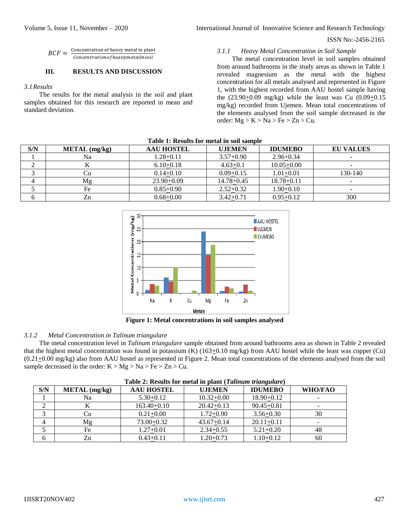#### ISSN No:-2456-2165

$$
BCF = \frac{\text{Concentration of heavy metal in plant}}{\text{Concentration of heavy metalin soil}}
$$

# **III. RESULTS AND DISCUSSION**

#### *3.1Results*

The results for the metal analysis in the soil and plant samples obtained for this research are reported in mean and standard deviation.

#### *3.1.1 Heavy Metal Concentration in Soil Sample*

The metal concentration level in soil samples obtained from around bathrooms in the study areas as shown in Table 1 revealed magnesium as the metal with the highest concentration for all metals analysed and represented in Figure 1, with the highest recorded from AAU hostel sample having the  $(23.90+0.09 \text{ mg/kg})$  while the least was Cu  $(0.09+0.15$ mg/kg) recorded from Ujemen. Mean total concentrations of the elements analysed from the soil sample decreased in the order:  $Mg > K > Na > Fe > Zn > Cu$ .

| Table 1: Results for metal in soil sample |                 |                                    |                |                |                  |  |
|-------------------------------------------|-----------------|------------------------------------|----------------|----------------|------------------|--|
| S/N                                       | $METAL$ (mg/kg) | <b>AAU HOSTEL</b><br><b>UJEMEN</b> |                | <b>IDUMEBO</b> | <b>EU VALUES</b> |  |
|                                           | Na              | $1.28 + 0.11$                      | $3.57+0.90$    | $2.96 + 0.34$  |                  |  |
|                                           |                 | $6.10+0.18$                        | $4.63 + 0.1$   | $10.05 + 0.00$ |                  |  |
|                                           |                 | $0.14 + 0.10$                      | $0.09 + 0.15$  | $1.01 + 0.01$  | 130-140          |  |
|                                           | Mg              | $23.90+0.09$                       | $14.78 + 0.45$ | $18.78 + 0.11$ |                  |  |
|                                           | Fe              | $0.85 + 0.90$                      | $2.52+0.32$    | $1.90 + 0.10$  |                  |  |
|                                           | Zn              | $0.68 + 0.00$                      | $3.42 + 0.71$  | $0.95 + 0.12$  | 300              |  |



**Figure 1: Metal concentrations in soil samples analysed**

# *3.1.2 Metal Concentration in Talinum triangulare*

The metal concentration level in *Talinum triangulare* sample obtained from around bathrooms area as shown in Table 2 revealed that the highest metal concentration was found in potassium  $(K)$  (163 $\pm$ 0.10 mg/kg) from AAU hostel while the least was copper (Cu)  $(0.21 \pm 0.00 \text{ mg/kg})$  also from AAU hostel as represented in Figure 2. Mean total concentrations of the elements analysed from the soil sample decreased in the order:  $K > Mg > Na > Fe > Zn > Cu$ .

| <b>Table 2: Results for metal in plant</b> ( <i>Launum triangulare</i> ) |                 |                   |                |                |         |  |
|--------------------------------------------------------------------------|-----------------|-------------------|----------------|----------------|---------|--|
| S/N                                                                      | $METAL$ (mg/kg) | <b>AAU HOSTEL</b> | <b>UJEMEN</b>  | <b>IDUMEBO</b> | WHO/FAO |  |
|                                                                          | Na              | $5.30+0.12$       | $10.32 + 0.00$ | $18.90 + 0.12$ |         |  |
|                                                                          |                 | $163.40 + 0.10$   | $20.42+0.13$   | $90.45 + 0.81$ |         |  |
|                                                                          | Ċu              | $0.21 + 0.00$     | $1.72 + 0.90$  | $3.56 + 0.30$  | 30      |  |
|                                                                          | Mg              | $73.00 + 0.32$    | $43.67 + 0.14$ | $20.11 + 0.11$ |         |  |
|                                                                          | Fe              | $1.27 + 0.01$     | $2.34 + 0.55$  | $5.21 + 0.20$  | 48      |  |
|                                                                          | Zn              | $0.43 + 0.11$     | $1.20 + 0.73$  | $1.10+0.12$    | 60      |  |

| Table 2: Results for metal in plant (Talinum triangulare) |  |  |  |  |  |  |
|-----------------------------------------------------------|--|--|--|--|--|--|
|-----------------------------------------------------------|--|--|--|--|--|--|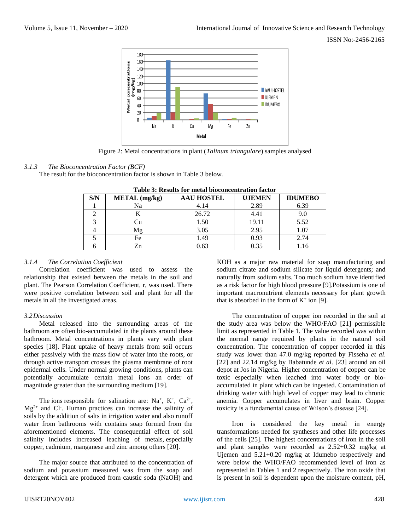ISSN No:-2456-2165



Figure 2: Metal concentrations in plant (*Talinum triangulare*) samples analysed

# *3.1.3 The Bioconcentration Factor (BCF)*

The result for the bioconcentration factor is shown in Table 3 below.

| S/N | <b>METAL</b> (mg/kg) | <b>AAU HOSTEL</b> | <b>UJEMEN</b> | <b>IDUMEBO</b> |
|-----|----------------------|-------------------|---------------|----------------|
|     | Na                   | 4.14              | 2.89          | 6.39           |
|     |                      | 26.72             | 4.41          |                |
|     |                      | 1.50              | 19.11         | 5.52           |
|     | Λg                   | 3.05              | 2.95          | 1.07           |
|     | Fe                   | l.49              | 0.93          | 2.74           |
|     | Zn                   | 0.63              | 0.35          |                |

**Table 3: Results for metal bioconcentration factor**

### *3.1.4 The Correlation Coefficient*

Correlation coefficient was used to assess the relationship that existed between the metals in the soil and plant. The Pearson Correlation Coefficient, r, was used. There were positive correlation between soil and plant for all the metals in all the investigated areas.

### *3.2Discussion*

Metal released into the surrounding areas of the bathroom are often bio-accumulated in the plants around these bathroom. Metal concentrations in plants vary with plant species [18]. Plant uptake of heavy metals from soil occurs either passively with the mass flow of water into the roots, or through active transport crosses the plasma membrane of root epidermal cells. Under normal growing conditions, plants can potentially accumulate certain metal ions an order of magnitude greater than the surrounding medium [19].

The [ions](https://en.wikipedia.org/wiki/Ion) responsible for salination are: Na<sup>+</sup>, K<sup>+</sup>, Ca<sup>2+</sup>,  $Mg^{2+}$  and Cl<sup>-</sup>. Human practices can increase the salinity of soils by the addition of salts in irrigation water and also runoff water from bathrooms with contains soap formed from the aforementioned elements. The consequential effect of soil salinity includes increased leaching of metals, especially copper, cadmium, manganese and zinc among others [20].

The major source that attributed to the concentration of sodium and potassium measured was from the soap and detergent which are produced from caustic soda (NaOH) and

KOH as a major raw material for soap manufacturing and sodium citrate and sodium silicate for liquid detergents; and naturally from sodium salts. Too much sodium have identified as a risk factor for high blood pressure [9].Potassium is one of important macronutrient elements necessary for plant growth that is absorbed in the form of  $K^+$  ion [9].

The concentration of copper ion recorded in the soil at the study area was below the WHO/FAO [21] permissible limit as represented in Table 1. The value recorded was within the normal range required by plants in the natural soil concentration. The concentration of copper recorded in this study was lower than 47.0 mg/kg reported by Fisseha *et al*. [22] and 22.14 mg/kg by Babatunde *et al*. [23] around an oil depot at Jos in Nigeria. Higher concentration of copper can be toxic especially when leached into water body or bioaccumulated in plant which can be ingested. Contamination of drinking water with high level of copper may lead to chronic anemia. Copper accumulates in liver and brain. Copper toxicity is a fundamental cause of Wilson's disease [24].

Iron is considered the key metal in energy transformations needed for syntheses and other life processes of the cells [25]. The highest concentrations of iron in the soil and plant samples were recorded as 2.52+0.32 mg/kg at Ujemen and 5.21+0.20 mg/kg at Idumebo respectively and were below the WHO/FAO recommended level of iron as represented in Tables 1 and 2 respectively. The iron oxide that is present in soil is dependent upon the moisture content, pH,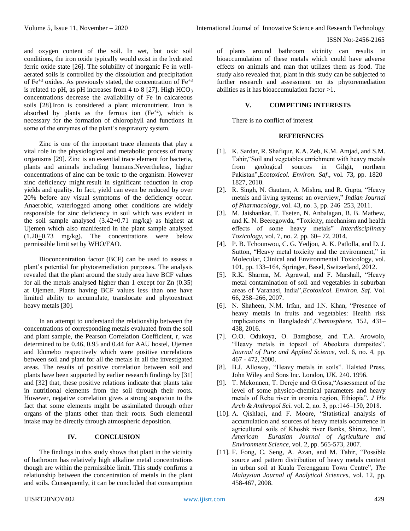and oxygen content of the soil. In wet, but oxic soil conditions, the iron oxide typically would exist in the hydrated ferric oxide state [26]. The solubility of inorganic Fe in wellaerated soils is controlled by the dissolution and precipitation of  $Fe^{+3}$  oxides. As previously stated, the concentration of  $Fe^{+3}$ is related to pH, as pH increases from 4 to 8 [27]. High  $HCO<sub>3</sub>$ concentrations decrease the availability of Fe in calcareous soils [28].Iron is considered a plant micronutrient. Iron is absorbed by plants as the ferrous ion  $(Fe^{+2})$ , which is necessary for the formation of chlorophyll and functions in some of the enzymes of the plant's respiratory system.

Zinc is one of the important trace elements that play a vital role in the physiological and metabolic process of many organisms [29]. Zinc is an essential trace element for bacteria, plants and animals including humans.Nevertheless, higher concentrations of zinc can be toxic to the organism. However zinc deficiency might result in significant reduction in crop yields and quality. In fact, yield can even be reduced by over 20% before any visual symptoms of the deficiency occur. Anaerobic, waterlogged among other conditions are widely responsible for zinc deficiency in soil which was evident in the soil sample analysed  $(3.42 \pm 0.71 \text{ mg/kg})$  as highest at Ujemen which also manifested in the plant sample analysed  $(1.20\pm0.73 \text{ mg/kg})$ . The concentrations were below permissible limit set by WHO/FAO.

Bioconcentration factor (BCF) can be used to assess a plant's potential for phytoremediation purposes. The analysis revealed that the plant around the study area have BCF values for all the metals analysed higher than 1 except for Zn (0.35) at Ujemen. Plants having BCF values less than one have limited ability to accumulate, translocate and phytoextract heavy metals [30].

In an attempt to understand the relationship between the concentrations of corresponding metals evaluated from the soil and plant sample, the Pearson Correlation Coefficient, r, was determined to be 0.46, 0.95 and 0.44 for AAU hostel, Ujemen and Idumebo respectively which were positive correlations between soil and plant for all the metals in all the investigated areas. The results of positive correlation between soil and plants have been supported by earlier research findings by [31] and [32] that, these positive relations indicate that plants take in nutritional elements from the soil through their roots. However, negative correlation gives a strong suspicion to the fact that some elements might be assimilated through other organs of the plants other than their roots. Such elemental intake may be directly through atmospheric deposition.

# **IV. CONCLUSION**

The findings in this study shows that plant in the vicinity of bathroom has relatively high alkaline metal concentrations though are within the permissible limit. This study confirms a relationship between the concentration of metals in the plant and soils. Consequently, it can be concluded that consumption of plants around bathroom vicinity can results in bioaccumulation of these metals which could have adverse effects on animals and man that utilizes them as food. The study also revealed that, plant in this study can be subjected to further research and assessment on its phytoremediation abilities as it has bioaccumulation factor >1.

# **V. COMPETING INTERESTS**

There is no conflict of interest

#### **REFERENCES**

- [1]. K. Sardar, R. Shafiqur, K.A. Zeb, K.M. Amjad, and S.M. Tahir,"Soil and vegetables enrichment with heavy metals from geological sources in Gilgit, northern Pakistan",*Ecotoxicol. Environ. Saf*., vol. 73, pp. 1820– 1827, 2010.
- [2]. R. Singh, N. Gautam, A. Mishra, and R. Gupta, "Heavy metals and living systems: an overview," *Indian Journal of Pharmacology*, vol. 43, no. 3, pp. 246–253, 2011.
- [3]. M. Jaishankar, T. Tseten, N. Anbalagan, B. B. Mathew, and K. N. Beeregowda, "Toxicity, mechanism and health effects of some heavy metals" *Interdisciplinary Toxicology*, vol. 7, no. 2, pp. 60– 72, 2014.
- [4]. P. B. Tchounwou, C. G. Yedjou, A. K. Patlolla, and D. J. Sutton, "Heavy metal toxicity and the environment," in Molecular, Clinical and Environmental Toxicology, vol. 101, pp. 133–164, Springer, Basel, Switzerland, 2012.
- [5]. R.K. Sharma, M. Agrawal, and F. Marshall, "Heavy metal contamination of soil and vegetables in suburban areas of Varanasi, India",*Ecotoxicol. Environ. Saf*. Vol. 66, 258–266, 2007.
- [6]. N. Shaheen, N.M. Irfan, and I.N. Khan, "Presence of heavy metals in fruits and vegetables: Health risk implications in Bangladesh",*Chemosphere*, 152, 431– 438, 2016.
- [7]. O.O. Odukoya, O. Bamgbose, and T.A. Arowolo, "Heavy metals in topsoil of Abeokuta dumpsites". *Journal of Pure and Applied Science,* vol. 6, no. 4, pp. 467 - 472, 2000.
- [8]. B.J. Alloway, "Heavy metals in soils". Halsted Press, John Wiley and Sons Inc. London, UK. 240. 1996.
- [9]. T. Mekonnen, T. Dereje and G.Gosa,"Assessment of the level of some physico-chemical parameters and heavy metals of Rebu river in oromia region, Ethiopia". *J His Arch & Anthropol Sci.* vol. 2, no. 3, pp.:146-150, 2018.
- [10]. A. Qishlaqi, and F. Moore, "Statistical analysis of accumulation and sources of heavy metals occurrence in agricultural soils of Khoshk river Banks, Shiraz, Iran", *American –Eurasian Journal of Agriculture and Environment Science*, vol. 2, pp. 565-573, 2007.
- [11]. F. Fong, C. Seng, A. Azan, and M. Tahir, "Possible source and pattern distribution of heavy metals content in urban soil at Kuala Terengganu Town Centre", *The Malaysian Journal of Analytical Sciences,* vol. 12, pp. 458-467, 2008.